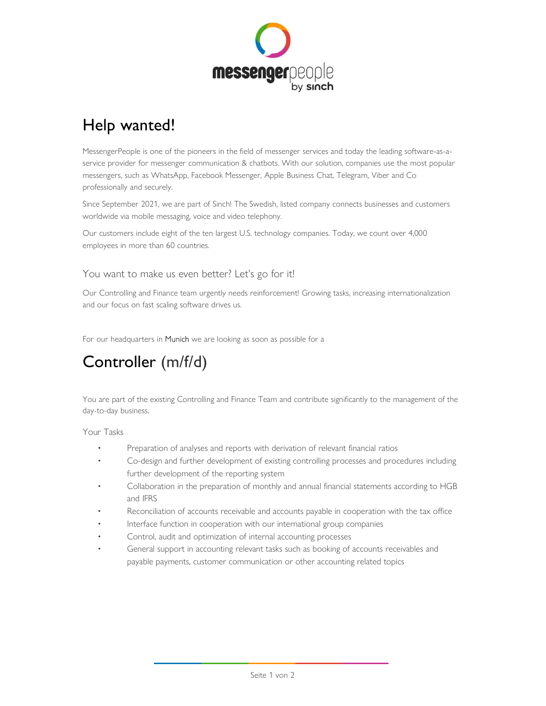

# Help wanted!

MessengerPeople is one of the pioneers in the field of messenger services and today the leading software-as-aservice provider for messenger communication & chatbots. With our solution, companies use the most popular messengers, such as WhatsApp, Facebook Messenger, Apple Business Chat, Telegram, Viber and Co professionally and securely.

Since September 2021, we are part of Sinch! The Swedish, listed company connects businesses and customers worldwide via mobile messaging, voice and video telephony.

Our customers include eight of the ten largest U.S. technology companies. Today, we count over 4,000 employees in more than 60 countries.

## You want to make us even better? Let's go for it!

Our Controlling and Finance team urgently needs reinforcement! Growing tasks, increasing internationalization and our focus on fast scaling software drives us.

For our headquarters in Munich we are looking as soon as possible for a

# Controller (m/f/d)

You are part of the existing Controlling and Finance Team and contribute significantly to the management of the day-to-day business.

- 
- Your Tasks Preparation of analyses and reports with derivation of relevant financial ratios Co-design and further development of existing controlling processes and procedures including
	- further development of the reporting system<br>Collaboration in the preparation of monthly and annual financial statements according to HGB
	- and IFRS<br>Reconciliation of accounts receivable and accounts payable in cooperation with the tax office<br>Interface function in cooperation with our international group companies<br>Control, audit and optimization of internal ac
	-
	-
	- payable payments, customer communication or other accounting related topics